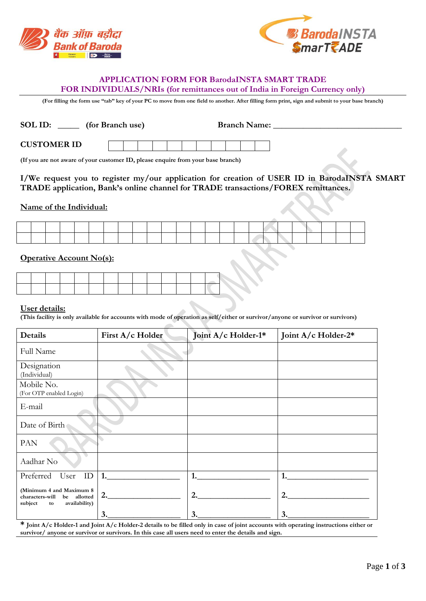



## **APPLICATION FORM FOR BarodaINSTA SMART TRADE FOR INDIVIDUALS/NRIs (for remittances out of India in Foreign Currency only)**

(For filling the form use "tab" key of your PC to move from one field to another. After filling form print, sign and submit to your base branch)

| SOL ID:<br>(for Branch use) |  |  |  |  |  | <b>Branch Name:</b> |  |  |  |  |  |
|-----------------------------|--|--|--|--|--|---------------------|--|--|--|--|--|
| <b>CUSTOMER ID</b>          |  |  |  |  |  |                     |  |  |  |  |  |

**(If you are not aware of your customer ID, please enquire from your base branch)** 

## **I/We request you to register my/our application for creation of USER ID in BarodaINSTA SMART TRADE application, Bank's online channel for TRADE transactions/FOREX remittances.**

### **Name of the Individual:**

|  |  |  |  |  |  |                                                                 |  |  |                                                                                                                 |  | the contract of the contract of the contract of the contract of the contract of |  |  |
|--|--|--|--|--|--|-----------------------------------------------------------------|--|--|-----------------------------------------------------------------------------------------------------------------|--|---------------------------------------------------------------------------------|--|--|
|  |  |  |  |  |  |                                                                 |  |  |                                                                                                                 |  |                                                                                 |  |  |
|  |  |  |  |  |  |                                                                 |  |  |                                                                                                                 |  |                                                                                 |  |  |
|  |  |  |  |  |  | the contract of the contract of the contract of the contract of |  |  | the contract of the contract of the contract of the contract of the contract of the contract of the contract of |  |                                                                                 |  |  |
|  |  |  |  |  |  |                                                                 |  |  |                                                                                                                 |  |                                                                                 |  |  |
|  |  |  |  |  |  |                                                                 |  |  |                                                                                                                 |  |                                                                                 |  |  |
|  |  |  |  |  |  |                                                                 |  |  |                                                                                                                 |  |                                                                                 |  |  |

## **Operative Account No(s):**

#### **User details:**

**(This facility is only available for accounts with mode of operation as self/either or survivor/anyone or survivor or survivors)** 

| Details                                                                                      | First A/c Holder | Joint A/c Holder-1* | Joint A/c Holder-2* |
|----------------------------------------------------------------------------------------------|------------------|---------------------|---------------------|
| Full Name                                                                                    |                  |                     |                     |
| Designation<br>(Individual)                                                                  |                  |                     |                     |
| Mobile No.<br>(For OTP enabled Login)                                                        |                  |                     |                     |
| E-mail                                                                                       |                  |                     |                     |
| Date of Birth                                                                                |                  |                     |                     |
| PAN                                                                                          |                  |                     |                     |
| Aadhar No                                                                                    |                  |                     |                     |
| Preferred<br>User<br>ID                                                                      |                  | 1.                  | 1.                  |
| (Minimum 4 and Maximum 8<br>characters-will<br>be allotted<br>subject<br>availability)<br>to | 2.               | 2.                  | 2.                  |
|                                                                                              | 3.               | 3.                  | 3.                  |

**\* Joint A/c Holder-1 and Joint A/c Holder-2 details to be filled only in case of joint accounts with operating instructions either or survivor/ anyone or survivor or survivors. In this case all users need to enter the details and sign.**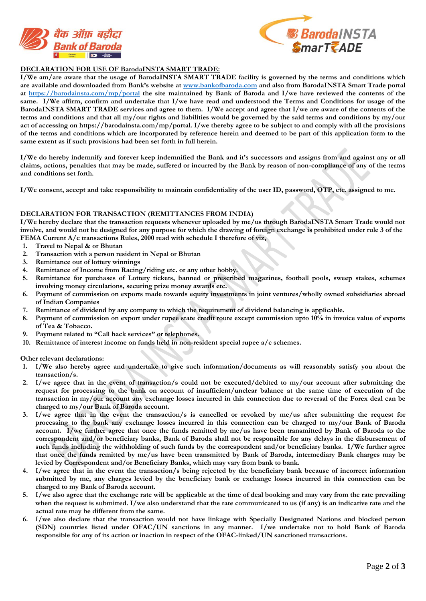



#### **DECLARATION FOR USE OF BarodaINSTA SMART TRADE:**

**I/We am/are aware that the usage of BarodaINSTA SMART TRADE facility is governed by the terms and conditions which are available and downloaded from Bank's website at www.bankofbaroda.com and also from BarodaINSTA Smart Trade portal at https://barodainsta.com/mp/portal the site maintained by Bank of Baroda and I/we have reviewed the contents of the same. I/We affirm, confirm and undertake that I/we have read and understood the Terms and Conditions for usage of the BarodaINSTA SMART TRADE services and agree to them. I/We accept and agree that I/we are aware of the contents of the terms and conditions and that all my/our rights and liabilities would be governed by the said terms and conditions by my/our act of accessing on https://barodainsta.com/mp/portal. I/we thereby agree to be subject to and comply with all the provisions of the terms and conditions which are incorporated by reference herein and deemed to be part of this application form to the same extent as if such provisions had been set forth in full herein.** 

**I/We do hereby indemnify and forever keep indemnified the Bank and it's successors and assigns from and against any or all claims, actions, penalties that may be made, suffered or incurred by the Bank by reason of non-compliance of any of the terms and conditions set forth.** 

**I/We consent, accept and take responsibility to maintain confidentiality of the user ID, password, OTP, etc. assigned to me.** 

#### **DECLARATION FOR TRANSACTION (REMITTANCES FROM INDIA)**

**I/We hereby declare that the transaction requests whenever uploaded by me/us through BarodaINSTA Smart Trade would not involve, and would not be designed for any purpose for which the drawing of foreign exchange is prohibited under rule 3 of the FEMA Current A/c transactions Rules, 2000 read with schedule I therefore of viz,** 

- **1. Travel to Nepal & or Bhutan**
- **2. Transaction with a person resident in Nepal or Bhutan**
- **3. Remittance out of lottery winnings**
- **4. Remittance of Income from Racing/riding etc. or any other hobby.**
- **5. Remittance for purchases of Lottery tickets, banned or prescribed magazines, football pools, sweep stakes, schemes involving money circulations, securing prize money awards etc.**
- **6. Payment of commission on exports made towards equity investments in joint ventures/wholly owned subsidiaries abroad of Indian Companies**
- **7. Remittance of dividend by any company to which the requirement of dividend balancing is applicable.**
- **8. Payment of commission on export under rupee state credit route except commission upto 10% in invoice value of exports of Tea & Tobacco.**
- **9. Payment related to "Call back services" or telephones.**
- **10. Remittance of interest income on funds held in non-resident special rupee a/c schemes.**

**Other relevant declarations:** 

- **1. I/We also hereby agree and undertake to give such information/documents as will reasonably satisfy you about the transaction/s.**
- **2. I/we agree that in the event of transaction/s could not be executed/debited to my/our account after submitting the request for processing to the bank on account of insufficient/unclear balance at the same time of execution of the transaction in my/our account any exchange losses incurred in this connection due to reversal of the Forex deal can be charged to my/our Bank of Baroda account.**
- **3. I/we agree that in the event the transaction/s is cancelled or revoked by me/us after submitting the request for processing to the bank any exchange losses incurred in this connection can be charged to my/our Bank of Baroda account. I/we further agree that once the funds remitted by me/us have been transmitted by Bank of Baroda to the correspondent and/or beneficiary banks, Bank of Baroda shall not be responsible for any delays in the disbursement of such funds including the withholding of such funds by the correspondent and/or beneficiary banks. I/We further agree that once the funds remitted by me/us have been transmitted by Bank of Baroda, intermediary Bank charges may be levied by Correspondent and/or Beneficiary Banks, which may vary from bank to bank.**
- **4. I/we agree that in the event the transaction/s being rejected by the beneficiary bank because of incorrect information submitted by me, any charges levied by the beneficiary bank or exchange losses incurred in this connection can be charged to my Bank of Baroda account.**
- **5. I/we also agree that the exchange rate will be applicable at the time of deal booking and may vary from the rate prevailing**  when the request is submitted. I/we also understand that the rate communicated to us (if any) is an indicative rate and the **actual rate may be different from the same.**
- **6. I/we also declare that the transaction would not have linkage with Specially Designated Nations and blocked person (SDN) countries listed under OFAC/UN sanctions in any manner. I/we undertake not to hold Bank of Baroda responsible for any of its action or inaction in respect of the OFAC-linked/UN sanctioned transactions.**